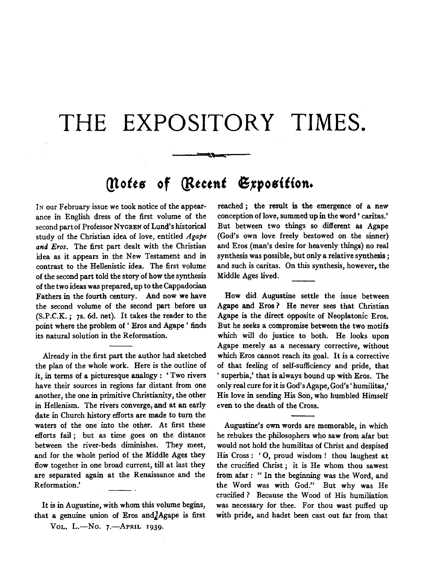## **THE EXPOSITORY TIMES.**

~"

## *(!totts* **of** *Qttetnt* **6,tposition.**

IN our February issue we took notice of the appearance in English dress of the first volume of the second part of Professor NYGREN of Lund's historical study of the Christian idea of love, entitled *Agape and Eras.* The first part dealt with the Christian idea as it appears in the New Testament and in contrast to the Hellenistic idea. The first volume of the second part told the story of how the synthesis of the two ideas was prepared, up to the Cappadocian Fathers in the fourth century. And now we have the second volume of the second part before us (S.P.C.K.; 7s. 6d. net). It takes the reader to the point where the problem of ' Eros and Agape ' finds its natural solution in the Reformation.

Already in the first part the author had sketched the plan of the whole work. Here is the outline of it, in terms of a picturesque analogy : ' Two rivers have their sources in regions far distant from one another, the one in primitive Christianity, the other in Hellenism. The rivers converge, and at an early date in Church history efforts are made to turn the waters of the one into the other. At first these efforts fail ; but as time goes on the distance between the river-beds diminishes. They meet, and for the whole period of the Middle Ages they flow together in one broad current, till at last they are separated again at the Renaissance and the Reformation.'

It is in Augustine, with whom this volume begins, that a genuine union of Eros and  $A$ gape is first VOL. L.-No. 7.-APRIL 1939.

reached ; the result is the emergence of a new conception of love, summed up in the word ' caritas.' But between two things so different as Agape (God's own love freely bestowed on the sinner) and Eros (man's desire for heavenly things) no real synthesis was possible, but only a relative synthesis ; and such is caritas. On this synthesis, however, the Middle Ages lived.

How did Augustine settle the issue between Agape and Eros ? He never sees that Christian Agape is the direct opposite of Neoplatonic Eros. But he seeks a compromise between the two motifs which will do justice to both. He looks upon Agape merely as a necessary corrective, without which Eros cannot reach its goal. It is a corrective of that feeling of self-sufficiency and pride, that ' superbia,' that is always bound up with Eros. The only real cure for it is God's Agape, God's' humilitas,' His love in sending His Son, who humbled Himself even to the death of the Cross.

Augustine's own words are memorable, in which he rebukes the philosophers who saw from afar but would not hold the humilitas of Christ and despised His Cross : ' 0, proud wisdom ! thou laughest at the crucified Christ ; it is He whom thou sawest from afar: "In the beginning was the Word, and the Word was with God." But why was He crucified? Because the Wood of His humiliation was necessary for thee. For thou wast puffed up with pride, and hadst been cast out far from that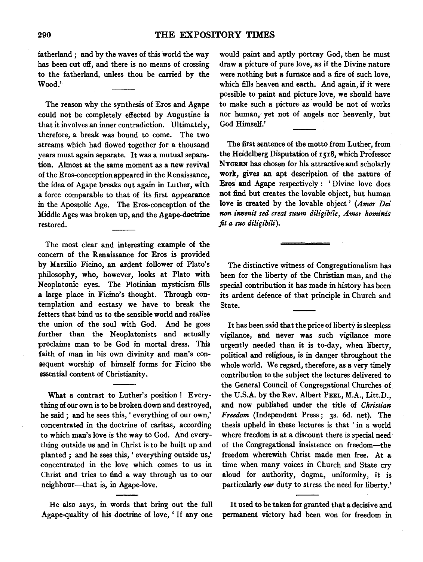fatherland ; and by the waves of this world the way has been cut off, and there is no means of crossing to the fatherland, unless thou be carried by the Wood.'·

The reason why the synthesis of Eros and Agape could not be completely effected by Augustine is . that it involves an inner contradiction. Ultimately, therefore, a break was bound to come. The two streams which had flowed together for a thousand years must again separate. It was a mutual separation. Almost at the same moment as a new revival of the Eros-conceptionappeared in the Renaissance, the idea of Agape breaks out again in Luther, with a force comparable to that of its first appearance in the Apostolic Age. The Eras-conception of the Middle Ages was broken up, and the Agape-doctrine restored.

The most clear and interesting example of the concern of the Renaissance for Eros is provided by Marsilio Ficino, an ardent follower of Plato's philosophy, who, however, looks at Plato with Neoplatonic eyes. The Plotinian mysticism fills a large place in Ficino's thought. Through contemplation and ecstasy we have to break the fetters that bind us to the sensible world and realise the union of the soul with God. And he goes further than the Neoplatonists and actually proclaims man to be God in mortal dress. This faith of man in his own divinity and man's consequent worship of himself forms for Ficino the essential content of Christianity.

What a contrast to Luther's position! Everything of our own is to be broken down and destroyed, he said ; and he sees this, ' everything of our own,' concentrated in the doctrine of caritas, according to which man's love is the way to God. And everything outside us and in Christ is to be built up and planted ; and he sees this, ' everything outside us,' concentrated in the love which comes to us in Christ and tries to find a way through us to our neighbour-that is, in Agape-love.

He also says, in words that bring out the full Agape-quality of his doctrine of love, ' If any one

would paint and aptly portray God, then he must draw a picture of pure love, as if the Divine nature were nothing but a furnace and a fire of such love, which fills heaven and earth. And again, if it were possible to paint and picture love, we should have to make such a picture as would be not of works nor human, yet not of angels nor heavenly, but God Himself.'

The first sentence of the motto from Luther, from the Heidelberg Disputation of 1518, which Professor NYGREN has chosen for his attractive and scholarly work, gives an apt description of the nature of Eros and Agape respectively : ' Divine love does not find but creates the lovable object, but human love is created by the lovable object ' *(Amor Dei*  non invenit sed creat suum diligibile, Amor hominis *fit a suo diligibili).* 

The distinctive witness of Congregationalism has been for the liberty of the Christian man, and the special contribution it has made in history has been its ardent defence of that principle in Church and State.

It has been said that the price of liberty is sleepless vigilance, and never was such vigilance more urgently needed than it is to-day, when liberty, political and religious, is in danger throughout the whole world. We regard, therefore, as a very timely contribution to the subject the lectures delivered to the General Council of Congregational Churches of the U.S.A. by the Rev. Albert PEEL, M.A., Litt.D., and now published under the title of *Christian Freedom* (Independent Press; 3s. 6d. net). The thesis upheld in these lectures is that ' in a world where freedom is at a discount there is special need of the Congregational insistence on freedom-the freedom wherewith Christ made men free. At a time when many voices in Church and State cry aloud for authority, dogma, uniformity, it is particularly *our* duty to stress the need for liberty.'

It used to be taken for granted that a decisive and permanent victory had been won for freedom in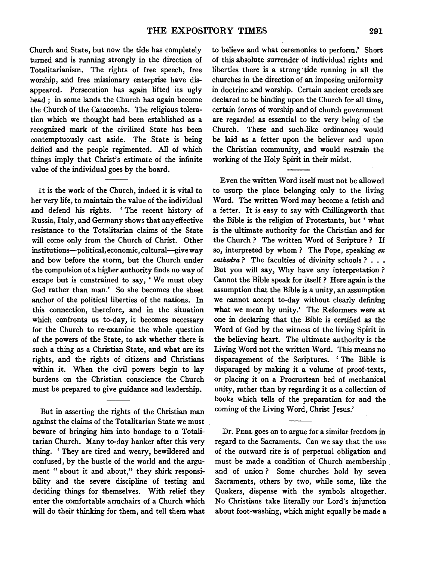Church and State, but now the tide has completely turned and is running strongly in the direction of Totalitarianism. The rights of free speech, free worship, and free missionary enterprise have disappeared. Persecution has again lifted its ugly head ; in some lands the Church has again become the Church of the Catacombs. The religious toleration which we thought had been established as a recognized mark of the civilized State has been contemptuously cast aside. The State is being deified and the people regimented. All of which things imply that Christ's estimate of the infinite value of the individual goes by the board.

It is the work of the Church, indeed it is vital to her very life, to maintain the value of the individual and defend his rights. ' The recent history of Russia, Italy, and Germany shows that any effective resistance to the Totalitarian claims of the State will come only from the Church of Christ. Other institutions-political, economic, cultural-give way and bow before the storm, but the Church under the compulsion of a higher authority finds no way of escape but is constrained to say, 'We must obey God rather than man.' So she becomes the sheet anchor of the political liberties of the nations. In this connection, therefore, and in the situation which confronts us to-day, it becomes necessary for the Church to re-examine the whole question of the powers of the State, to ask whether there is such a thing as a Christian State, and what are its rights, and the rights of citizens and Christians within it. When the civil powers begin to lay burdens on the Christian conscience the Church must be prepared to give guidance and leadership.

But in asserting the rights of the Christian man against the claims of the Totalitarian State we must beware of bringing him into bondage to a Totalitarian Church. Many to-day hanker after this very thing. 'They are tired and weary, bewildered and confused, by the bustle of the world and the argument " about it and about," they shirk responsibility and the severe discipline of testing and deciding things for themselves. With relief they enter the comfortable armchairs of a Church which will do their thinking for them, and tell them what

to believe and what ceremonies to perform.' Short of this absolute surrender of individual rights and liberties there is a strong· tide running in all the churches in the direction of an imposing uniformity in doctrine and worship. Certain ancient creeds are declared to be binding upon the Church for all time, certain forms of worship and of church government are regarded as essential to the very being of the Church. These and such-like ordinances would be laid as a fetter upon the believer and upon the Christian community, and would restrain the working of the Holy Spirit in their midst.

Even the written Word itself must not be allowed to usurp the place belonging only to the living Word. The written Word may become a fetish and a fetter. It is easy to say with Chillingworth that the Bible is the religion of Protestants, but ' what is the ultimate authority for the Christian and for the Church ? The written Word of Scripture ? If so, interpreted by whom ? The Pope, speaking *ex cathedra* ? The faculties of divinity schools ? . . • But you will say, Why have any interpretation ? Cannot the Bible speak for itself ? Here again is the assumption that the Bible is a unity, an assumption we cannot accept to-day without clearly defining what we mean by unity.' The Reformers were at one in declaring that the Bible is certified as the Word of God by the witness of the living Spirit in the believing heart. The ultimate authority is the Living Word not the written Word. This means no disparagement of the Scriptures. ' The Bible. is disparaged by making it a volume of proof-texts, or placing it on a Procrustean bed of mechanical unity, rather than by regarding it as a collection of books which tells of the preparation for and the coming of the Living Word, Christ Jesus.'

Dr. PEEL goes on to argue for a similar freedom in regard to the Sacraments. Can we say that the use of the outward rite is of perpetual obligation and must be made a condition of Church membership . and of union ? Some churches hold by seven Sacraments, others by two, while some, like the Quakers, dispense with the symbols altogether. No Christians take literally our Lord's injunction about foot-washing, which might equally be made a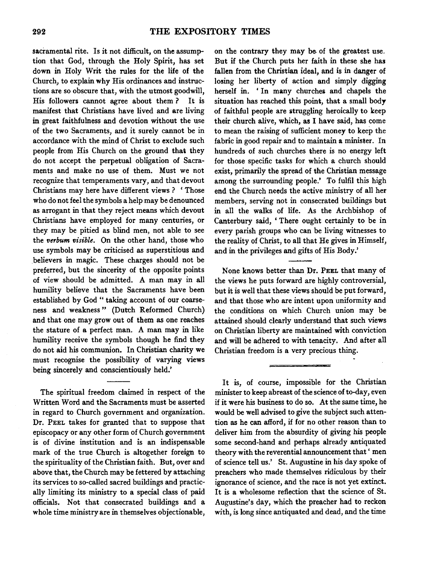sacramental rite. Is it not difficult, on the assumption that God, through the Holy Spirit, has set down in Holy Writ the rules for the life of the Church, to explain why His ordinances and instructions are so obscure that, with the utmost goodwill, His followers cannot agree about them? It is manifest that Christians have lived and are living in great faithfulness and devotion without the use of the two Sacraments, and it surely cannot be in accordance with the mind of Christ to exclude such people from His Church on the ground that they do not accept the perpetual obligation of Sacraments and make no use of them. Must we not recognize that temperaments vary, and that devout Christians may here have different views? 'Those who do not feel the symbols a help may be denounced as arrogant in that they reject means which devout Christians have employed for many centuries, or they may be pitied as blind men, not able to see the *verbum visible.* On the other hand, those who use symbols may be criticised as superstitious and believers in magic. These charges should not be preferred, but the sincerity of the opposite points of view should be admitted. A man may in all humility believe that the Sacraments have been established by God " taking account of our coarseness and weakness" (Dutch Reformed Church) and that one may grow out of them as one reaches the stature of a perfect man. A man may in like humility receive the symbols though he find they do not aid his communion. In Christian charity we must recognise the possibility of varying views being sincerely and conscientiously held.'

The spiritual freedom claimed in respect of the Written Word and the Sacraments must be asserted in regard to Church government and organization. Dr. PEEL takes for granted that to suppose that episcopacy or any other form of Church government is of divine institution and is an indispensable mark of the true Church is altogether foreign to the spirituality of the Christian faith. But, over and above that, the Church may be fettered by attaching its services to so-called sacred buildings and practically limiting its ministry to a special class of paid officials. Not that consecrated buildings and a whole time ministry are in themselves objectionable,

on the contrary they may be. of the greatest use. But if the Church puts her faith in these she has fallen from the Christian ideal, and is in danger of losing her liberty of action and simply digging herself in. ' In many churches and chapels the situation has reached this point, that a small body of faithful people are struggling heroically to keep their church alive, which, as I have said, has come to mean the raising of sufficient money to keep the fabric in good repair and to maintain a minister. In hundreds of such churches there is no energy left for those specific tasks for which a church should exist, primarily the spread of the Christian message among the surrounding people.' To fulfil this high end the Church needs the active ministry of all her members, serving not in consecrated buildings but in all the walks of life. As the Archbishop of Canterbury said, 'There ought certainly to be in every parish groups who can be living witnesses to the reality of Christ, to all that He gives in Himself, and in the privileges and gifts of His Body.'

None knows better than Dr. PEEL that many of the views he puts forward are highly controversial, but it is well that these views should be put forward, and that those who are intent upon uniformity and the conditions on which Church union may be attained should clearly understand that such views on Christian liberty are maintained with conviction and will be adhered to with tenacity. And after all Christian freedom is a very precious thing.

It is, of course, impossible for the Christian minister to keep abreast of the science of to-day, even if it were his business to do so. At the same time, he would be well advised to give the subject such attention as he can afford, if for no other reason than to deliver him from the absurdity of giving his people some second-hand and perhaps already antiquated theory with the reverential announcement that ' men of science tell us.' St. Augustine in his day spoke of preachers who made themselves ridiculous by their ignorance of science, and the race is not yet extinct. It is a wholesome reflection that the science of St. Augustine's day, which the preacher had to reckon with, is long since antiquated and dead, and the time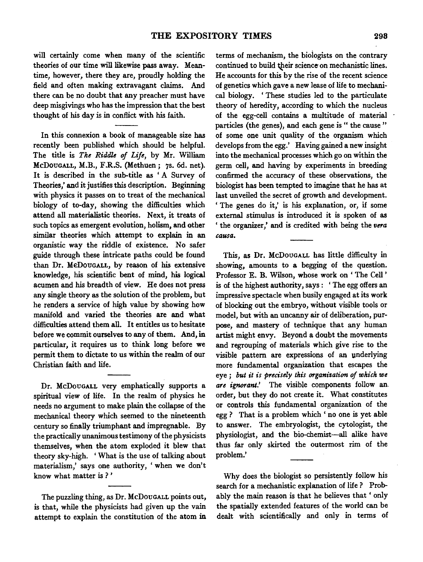will certainly come when many of the scientific theories of our time will likewise pass away. Meantime, however, there they are, proudly holding the field and often making extravagant claims. And there can be no doubt that any preacher must have deep misgivings who has the impression that the best thought of his day is in conflict with his faith.

In this connexion a book of manageable size has recently been published which should be helpful. The title is *The Riddle of Life,* by Mr. William McDOUGALL, M.B., F.R.S. (Methuen; 7s. 6d. net). It is described in the sub-title as ' A Survey of Theories,' and it justifies this description. Beginning with physics it passes on to treat of the mechanical biology of to-day, showing the difficulties which attend all materialistic theories. Next, it treats of such topics as emergent evolution, holism, and other similar theories which attempt to explain in an organistic way the riddle of existence. No safer guide through these intricate paths could be found than Dr. MeDouGALL, by reason of his extensive knowledge, his scientific bent of mind, his logical acumen and his breadth of view. He does not press any single theory as the solution of the problem, but he renders a service of high value by showing how manifold and varied the theories are and what difficulties attend them all. It entitles us to hesitate before we commit ourselves to any of them. And, in particular, it requires us to think long before we permit them to dictate to us within the realm of our Christian faith and life.

Dr. McDouGALL very emphatically supports a spiritual view of life. In the realm of physics he needs no argument to make plain the collapse of the mechanical theory which seemed to the nineteenth century so finally triumphant and impregnable. By the practically unanimous testimony of the physicists themselves, when the atom exploded it blew that theory sky-high. ' What is the use of talking about materialism,' says one authority, ' when we don't know what matter is ? '

The puzzling thing, as Dr. McDouGALL points out, is that, while the physicists had given up the vain attempt to explain the constitution of the atom in

terms of mechanism, the bioiogists on the contrary continued to build their science on mechanistic lines. He accounts for this by the rise of the recent science of genetics which gave a new lease of life to mechanical biology. 'These studies led to the particulate theory of heredity, according to which the nucleus of the egg-cell contains a multitude of material particles (the genes), and each gene is " the cause" of some one unit quality of the organism which develops from the egg.' Having gained a new insight into the mechanical processes which go on within the germ cell, and having by experiments in breeding confirmed the accuracy of these observations, the biologist has been tempted to imagine that he has at last unveiled the secret of growth and development. ' The genes do it,' is his explanation, or, if some external stimulus is introduced it is spoken of as 'the organizer,' and is credited with being the *vera causa.* 

This, as Dr. McDouGALL has little difficulty in showing, amounts to a begging of the question. Professor E. B. Wilson, whose work on ' The Cell ' is of the highest authority, says : ' The egg offers an impressive spectacle when busily engaged at its work of blocking out the embryo, without visible tools or model, but with an uncanny air of deliberation, purpose, and mastery of technique that any human artist might envy. Beyond a doubt the movements and regrouping of materials which give rise to the visible pattern are expressions of an underlying more fundamental organization that escapes the eye *; but it is precisely this organisation of which we are ignorant.'* The visible components follow an. order, but they do not create it. What constitutes or controls this fundamental organization of the egg ? That is a problem which ' no one is yet able to answer. The embryologist, the cytologist, the physiologist, and the bio-chemist-all alike have thus far only skirted the outermost rim of the problem.'

Why does the biologist so persistently follow his search for a mechanistic explanation of life ? Probably the main reason is that he believes that ' only the spatially extended features of the world can be dealt with scientifically and only in terms of